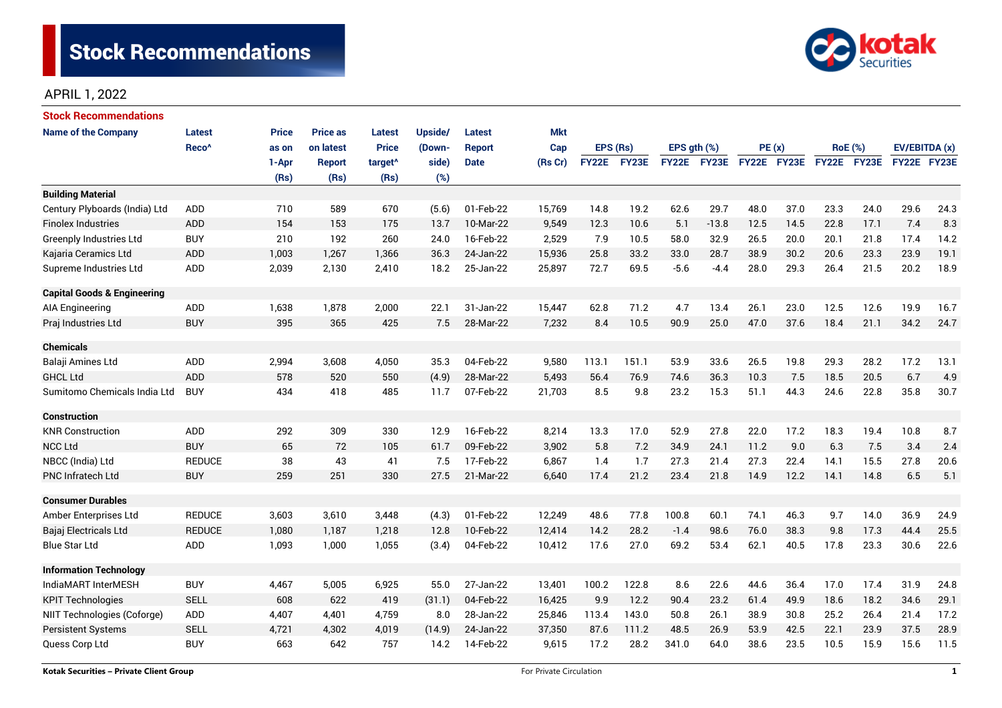

# APRIL 1, 2022

| Stock Recommendations                  |                   |       |                 |                     |         |               |            |              |       |             |             |             |      |                |      |               |      |  |
|----------------------------------------|-------------------|-------|-----------------|---------------------|---------|---------------|------------|--------------|-------|-------------|-------------|-------------|------|----------------|------|---------------|------|--|
| <b>Name of the Company</b>             | Latest            | Price | <b>Price as</b> | <b>Latest</b>       | Upside/ | Latest        | <b>Mkt</b> |              |       |             |             |             |      |                |      |               |      |  |
|                                        | Reco <sup>^</sup> | as on | on latest       | <b>Price</b>        | (Down-  | <b>Report</b> | Cap        | EPS (Rs)     |       | EPS gth (%) |             | PE(x)       |      | <b>RoE</b> (%) |      | EV/EBITDA (x) |      |  |
|                                        |                   | 1-Apr | <b>Report</b>   | target <sup>^</sup> | side)   | <b>Date</b>   | (Rs Cr)    | <b>FY22E</b> | FY23E |             | FY22E FY23E | FY22E FY23E |      | FY22E FY23E    |      | FY22E FY23E   |      |  |
|                                        |                   | (Rs)  | (Rs)            | (Rs)                | (%)     |               |            |              |       |             |             |             |      |                |      |               |      |  |
| <b>Building Material</b>               |                   |       |                 |                     |         |               |            |              |       |             |             |             |      |                |      |               |      |  |
| Century Plyboards (India) Ltd          | <b>ADD</b>        | 710   | 589             | 670                 | (5.6)   | 01-Feb-22     | 15,769     | 14.8         | 19.2  | 62.6        | 29.7        | 48.0        | 37.0 | 23.3           | 24.0 | 29.6          | 24.3 |  |
| <b>Finolex Industries</b>              | <b>ADD</b>        | 154   | 153             | 175                 | 13.7    | 10-Mar-22     | 9,549      | 12.3         | 10.6  | 5.1         | $-13.8$     | 12.5        | 14.5 | 22.8           | 17.1 | 7.4           | 8.3  |  |
| <b>Greenply Industries Ltd</b>         | <b>BUY</b>        | 210   | 192             | 260                 | 24.0    | 16-Feb-22     | 2,529      | 7.9          | 10.5  | 58.0        | 32.9        | 26.5        | 20.0 | 20.1           | 21.8 | 17.4          | 14.2 |  |
| Kajaria Ceramics Ltd                   | <b>ADD</b>        | 1,003 | 1,267           | 1,366               | 36.3    | 24-Jan-22     | 15,936     | 25.8         | 33.2  | 33.0        | 28.7        | 38.9        | 30.2 | 20.6           | 23.3 | 23.9          | 19.1 |  |
| Supreme Industries Ltd                 | ADD               | 2,039 | 2,130           | 2,410               | 18.2    | 25-Jan-22     | 25,897     | 72.7         | 69.5  | $-5.6$      | $-4.4$      | 28.0        | 29.3 | 26.4           | 21.5 | 20.2          | 18.9 |  |
| <b>Capital Goods &amp; Engineering</b> |                   |       |                 |                     |         |               |            |              |       |             |             |             |      |                |      |               |      |  |
| <b>AIA Engineering</b>                 | ADD               | 1,638 | 1,878           | 2,000               | 22.1    | 31-Jan-22     | 15,447     | 62.8         | 71.2  | 4.7         | 13.4        | 26.1        | 23.0 | 12.5           | 12.6 | 19.9          | 16.7 |  |
| Praj Industries Ltd                    | <b>BUY</b>        | 395   | 365             | 425                 | 7.5     | 28-Mar-22     | 7,232      | 8.4          | 10.5  | 90.9        | 25.0        | 47.0        | 37.6 | 18.4           | 21.1 | 34.2          | 24.7 |  |
| <b>Chemicals</b>                       |                   |       |                 |                     |         |               |            |              |       |             |             |             |      |                |      |               |      |  |
| Balaji Amines Ltd                      | ADD               | 2,994 | 3,608           | 4,050               | 35.3    | 04-Feb-22     | 9,580      | 113.1        | 151.1 | 53.9        | 33.6        | 26.5        | 19.8 | 29.3           | 28.2 | 17.2          | 13.1 |  |
| <b>GHCL Ltd</b>                        | ADD               | 578   | 520             | 550                 | (4.9)   | 28-Mar-22     | 5,493      | 56.4         | 76.9  | 74.6        | 36.3        | 10.3        | 7.5  | 18.5           | 20.5 | 6.7           | 4.9  |  |
| Sumitomo Chemicals India Ltd           | <b>BUY</b>        | 434   | 418             | 485                 | 11.7    | 07-Feb-22     | 21,703     | 8.5          | 9.8   | 23.2        | 15.3        | 51.1        | 44.3 | 24.6           | 22.8 | 35.8          | 30.7 |  |
|                                        |                   |       |                 |                     |         |               |            |              |       |             |             |             |      |                |      |               |      |  |
| <b>Construction</b>                    |                   |       |                 |                     |         |               |            |              |       |             |             |             |      |                |      |               |      |  |
| <b>KNR Construction</b>                | <b>ADD</b>        | 292   | 309             | 330                 | 12.9    | 16-Feb-22     | 8,214      | 13.3         | 17.0  | 52.9        | 27.8        | 22.0        | 17.2 | 18.3           | 19.4 | 10.8          | 8.7  |  |
| <b>NCC Ltd</b>                         | <b>BUY</b>        | 65    | 72              | 105                 | 61.7    | 09-Feb-22     | 3,902      | 5.8          | 7.2   | 34.9        | 24.1        | 11.2        | 9.0  | 6.3            | 7.5  | 3.4           | 2.4  |  |
| NBCC (India) Ltd                       | <b>REDUCE</b>     | 38    | 43              | 41                  | 7.5     | 17-Feb-22     | 6,867      | 1.4          | 1.7   | 27.3        | 21.4        | 27.3        | 22.4 | 14.1           | 15.5 | 27.8          | 20.6 |  |
| <b>PNC Infratech Ltd</b>               | <b>BUY</b>        | 259   | 251             | 330                 | 27.5    | 21-Mar-22     | 6,640      | 17.4         | 21.2  | 23.4        | 21.8        | 14.9        | 12.2 | 14.1           | 14.8 | 6.5           | 5.1  |  |
| <b>Consumer Durables</b>               |                   |       |                 |                     |         |               |            |              |       |             |             |             |      |                |      |               |      |  |
| Amber Enterprises Ltd                  | <b>REDUCE</b>     | 3,603 | 3,610           | 3,448               | (4.3)   | 01-Feb-22     | 12,249     | 48.6         | 77.8  | 100.8       | 60.1        | 74.1        | 46.3 | 9.7            | 14.0 | 36.9          | 24.9 |  |
| Bajaj Electricals Ltd                  | <b>REDUCE</b>     | 1,080 | 1,187           | 1,218               | 12.8    | 10-Feb-22     | 12,414     | 14.2         | 28.2  | $-1.4$      | 98.6        | 76.0        | 38.3 | 9.8            | 17.3 | 44.4          | 25.5 |  |
| <b>Blue Star Ltd</b>                   | ADD               | 1,093 | 1,000           | 1,055               | (3.4)   | 04-Feb-22     | 10,412     | 17.6         | 27.0  | 69.2        | 53.4        | 62.1        | 40.5 | 17.8           | 23.3 | 30.6          | 22.6 |  |
| <b>Information Technology</b>          |                   |       |                 |                     |         |               |            |              |       |             |             |             |      |                |      |               |      |  |
| IndiaMART InterMESH                    | <b>BUY</b>        | 4,467 | 5,005           | 6,925               | 55.0    | 27-Jan-22     | 13,401     | 100.2        | 122.8 | 8.6         | 22.6        | 44.6        | 36.4 | 17.0           | 17.4 | 31.9          | 24.8 |  |
| <b>KPIT Technologies</b>               | <b>SELL</b>       | 608   | 622             | 419                 | (31.1)  | 04-Feb-22     | 16,425     | 9.9          | 12.2  | 90.4        | 23.2        | 61.4        | 49.9 | 18.6           | 18.2 | 34.6          | 29.1 |  |
| NIIT Technologies (Coforge)            | ADD               | 4,407 | 4,401           | 4,759               | 8.0     | 28-Jan-22     | 25,846     | 113.4        | 143.0 | 50.8        | 26.1        | 38.9        | 30.8 | 25.2           | 26.4 | 21.4          | 17.2 |  |
| <b>Persistent Systems</b>              | <b>SELL</b>       | 4,721 | 4,302           | 4,019               | (14.9)  | 24-Jan-22     | 37,350     | 87.6         | 111.2 | 48.5        | 26.9        | 53.9        | 42.5 | 22.1           | 23.9 | 37.5          | 28.9 |  |
| Quess Corp Ltd                         | <b>BUY</b>        | 663   | 642             | 757                 | 14.2    | 14-Feb-22     | 9,615      | 17.2         | 28.2  | 341.0       | 64.0        | 38.6        | 23.5 | 10.5           | 15.9 | 15.6          | 11.5 |  |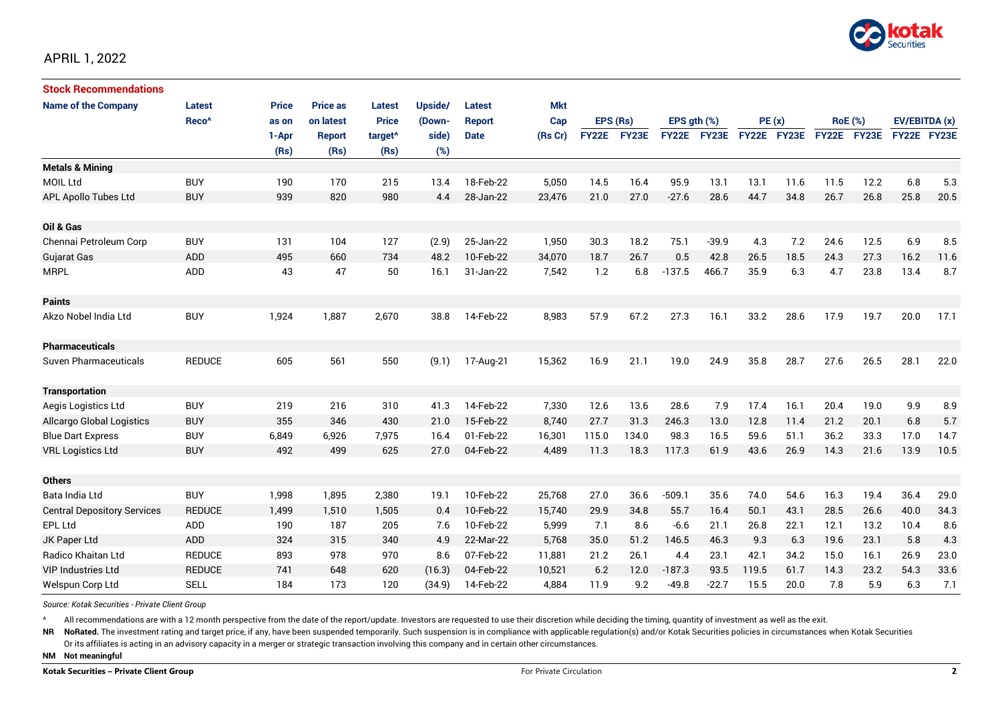

| <b>Stock Recommendations</b>       |                      |              |                 |                     |         |                        |            |              |              |                  |              |             |             |                |              |               |      |
|------------------------------------|----------------------|--------------|-----------------|---------------------|---------|------------------------|------------|--------------|--------------|------------------|--------------|-------------|-------------|----------------|--------------|---------------|------|
| <b>Name of the Company</b>         | Latest               | <b>Price</b> | <b>Price as</b> | Latest              | Upside/ | Latest                 | <b>Mkt</b> |              |              |                  |              |             |             |                |              |               |      |
|                                    | Reco <sup>^</sup>    | as on        | on latest       | <b>Price</b>        | (Down-  | <b>Report</b>          | Cap        | EPS (Rs)     |              | EPS $qth$ $(\%)$ |              | PE(x)       |             | <b>RoE</b> (%) |              | EV/EBITDA (x) |      |
|                                    |                      | 1-Apr        | <b>Report</b>   | target <sup>^</sup> | side)   | <b>Date</b>            | (Rs Cr)    | <b>FY22E</b> | FY23E        | <b>FY22E</b>     | <b>FY23E</b> | FY22E FY23E |             |                | FY22E FY23E  | FY22E FY23E   |      |
|                                    |                      | (Rs)         | (Rs)            | (Rs)                | (%)     |                        |            |              |              |                  |              |             |             |                |              |               |      |
| <b>Metals &amp; Mining</b>         |                      |              |                 |                     |         |                        |            |              |              |                  |              |             |             |                |              |               |      |
| <b>MOIL Ltd</b>                    | <b>BUY</b>           | 190          | 170             | 215                 | 13.4    | 18-Feb-22              | 5,050      | 14.5         | 16.4         | 95.9             | 13.1         | 13.1        | 11.6        | 11.5           | 12.2         | 6.8           | 5.3  |
| <b>APL Apollo Tubes Ltd</b>        | <b>BUY</b>           | 939          | 820             | 980                 | 4.4     | 28-Jan-22              | 23,476     | 21.0         | 27.0         | $-27.6$          | 28.6         | 44.7        | 34.8        | 26.7           | 26.8         | 25.8          | 20.5 |
|                                    |                      |              |                 |                     |         |                        |            |              |              |                  |              |             |             |                |              |               |      |
| Oil & Gas                          |                      |              |                 |                     |         |                        |            |              |              |                  |              |             |             |                |              |               |      |
| Chennai Petroleum Corp             | <b>BUY</b>           | 131          | 104             | 127                 | (2.9)   | 25-Jan-22              | 1,950      | 30.3         | 18.2         | 75.1             | $-39.9$      | 4.3         | 7.2         | 24.6           | 12.5         | 6.9           | 8.5  |
| <b>Gujarat Gas</b>                 | <b>ADD</b>           | 495          | 660             | 734                 | 48.2    | 10-Feb-22              | 34,070     | 18.7         | 26.7         | 0.5              | 42.8         | 26.5        | 18.5        | 24.3           | 27.3         | 16.2          | 11.6 |
| <b>MRPL</b>                        | ADD                  | 43           | 47              | 50                  | 16.1    | 31-Jan-22              | 7,542      | 1.2          | 6.8          | $-137.5$         | 466.7        | 35.9        | 6.3         | 4.7            | 23.8         | 13.4          | 8.7  |
|                                    |                      |              |                 |                     |         |                        |            |              |              |                  |              |             |             |                |              |               |      |
| <b>Paints</b>                      |                      |              |                 |                     |         |                        |            |              |              |                  |              |             |             |                |              |               |      |
| Akzo Nobel India Ltd               | <b>BUY</b>           | 1,924        | 1,887           | 2,670               | 38.8    | 14-Feb-22              | 8,983      | 57.9         | 67.2         | 27.3             | 16.1         | 33.2        | 28.6        | 17.9           | 19.7         | 20.0          | 17.1 |
|                                    |                      |              |                 |                     |         |                        |            |              |              |                  |              |             |             |                |              |               |      |
| <b>Pharmaceuticals</b>             |                      |              |                 |                     |         |                        |            |              |              |                  |              |             |             |                |              |               |      |
| <b>Suven Pharmaceuticals</b>       | <b>REDUCE</b>        | 605          | 561             | 550                 | (9.1)   | 17-Aug-21              | 15,362     | 16.9         | 21.1         | 19.0             | 24.9         | 35.8        | 28.7        | 27.6           | 26.5         | 28.1          | 22.0 |
|                                    |                      |              |                 |                     |         |                        |            |              |              |                  |              |             |             |                |              |               |      |
| <b>Transportation</b>              |                      |              |                 |                     |         |                        |            |              |              |                  |              |             |             |                |              |               |      |
| Aegis Logistics Ltd                | <b>BUY</b>           | 219          | 216             | 310                 | 41.3    | 14-Feb-22              | 7,330      | 12.6         | 13.6         | 28.6             | 7.9          | 17.4        | 16.1        | 20.4           | 19.0         | 9.9           | 8.9  |
| <b>Allcargo Global Logistics</b>   | <b>BUY</b>           | 355          | 346             | 430                 | 21.0    | 15-Feb-22              | 8,740      | 27.7         | 31.3         | 246.3            | 13.0         | 12.8        | 11.4        | 21.2           | 20.1         | 6.8           | 5.7  |
| <b>Blue Dart Express</b>           | <b>BUY</b>           | 6,849        | 6,926           | 7,975               | 16.4    | 01-Feb-22              | 16,301     | 115.0        | 134.0        | 98.3             | 16.5         | 59.6        | 51.1        | 36.2           | 33.3         | 17.0          | 14.7 |
| <b>VRL Logistics Ltd</b>           | <b>BUY</b>           | 492          | 499             | 625                 | 27.0    | 04-Feb-22              | 4,489      | 11.3         | 18.3         | 117.3            | 61.9         | 43.6        | 26.9        | 14.3           | 21.6         | 13.9          | 10.5 |
| <b>Others</b>                      |                      |              |                 |                     |         |                        |            |              |              |                  |              |             |             |                |              |               |      |
| Bata India Ltd                     | <b>BUY</b>           | 1,998        | 1,895           | 2,380               | 19.1    | 10-Feb-22              | 25,768     | 27.0         | 36.6         | $-509.1$         | 35.6         | 74.0        | 54.6        | 16.3           | 19.4         | 36.4          | 29.0 |
|                                    | <b>REDUCE</b>        | 1,499        | 1,510           | 1,505               | 0.4     | 10-Feb-22              | 15,740     | 29.9         | 34.8         | 55.7             | 16.4         | 50.1        | 43.1        | 28.5           | 26.6         | 40.0          | 34.3 |
| <b>Central Depository Services</b> |                      |              |                 |                     |         | 10-Feb-22              |            | 7.1          |              |                  |              |             |             |                |              |               |      |
| <b>EPL Ltd</b>                     | <b>ADD</b>           | 190          | 187             | 205                 | 7.6     |                        | 5,999      |              | 8.6          | $-6.6$           | 21.1         | 26.8        | 22.1        | 12.1           | 13.2         | 10.4          | 8.6  |
| JK Paper Ltd<br>Radico Khaitan Ltd | ADD<br><b>REDUCE</b> | 324<br>893   | 315<br>978      | 340<br>970          | 4.9     | 22-Mar-22<br>07-Feb-22 | 5,768      | 35.0<br>21.2 | 51.2<br>26.1 | 146.5            | 46.3<br>23.1 | 9.3<br>42.1 | 6.3<br>34.2 | 19.6<br>15.0   | 23.1<br>16.1 | 5.8<br>26.9   | 4.3  |
|                                    |                      | 741          |                 |                     | 8.6     |                        | 11,881     |              |              | 4.4              |              |             | 61.7        |                |              | 54.3          | 23.0 |
| <b>VIP Industries Ltd</b>          | <b>REDUCE</b>        |              | 648             | 620                 | (16.3)  | 04-Feb-22              | 10,521     | 6.2          | 12.0         | $-187.3$         | 93.5         | 119.5       |             | 14.3           | 23.2         |               | 33.6 |
| Welspun Corp Ltd                   | <b>SELL</b>          | 184          | 173             | 120                 | (34.9)  | 14-Feb-22              | 4,884      | 11.9         | 9.2          | $-49.8$          | $-22.7$      | 15.5        | 20.0        | 7.8            | 5.9          | 6.3           | 7.1  |

*Source: Kotak Securities - Private Client Group*

All recommendations are with a 12 month perspective from the date of the report/update. Investors are requested to use their discretion while deciding the timing, quantity of investment as well as the exit.

NR NoRated. The investment rating and target price, if any, have been suspended temporarily. Such suspension is in compliance with applicable regulation(s) and/or Kotak Securities policies in circumstances when Kotak Secur

Or its affiliates is acting in an advisory capacity in a merger or strategic transaction involving this company and in certain other circumstances.

**NM Not meaningful**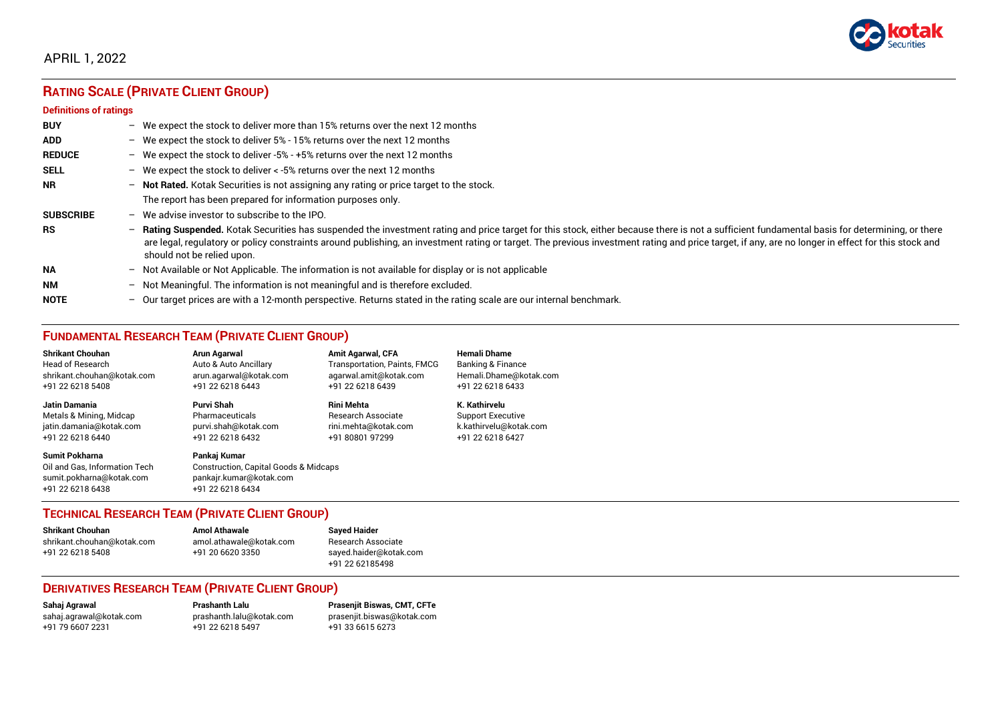

## APRIL 1, 2022

# **RATING SCALE (PRIVATE CLIENT GROUP)**

#### **Definitions of ratings**

| <b>BUY</b>       | $\overline{\phantom{0}}$ | We expect the stock to deliver more than 15% returns over the next 12 months                                                                                                                                                                                                                                                                                                                                                     |
|------------------|--------------------------|----------------------------------------------------------------------------------------------------------------------------------------------------------------------------------------------------------------------------------------------------------------------------------------------------------------------------------------------------------------------------------------------------------------------------------|
| <b>ADD</b>       |                          | - We expect the stock to deliver $5\%$ - 15% returns over the next 12 months                                                                                                                                                                                                                                                                                                                                                     |
| <b>REDUCE</b>    | $-$                      | We expect the stock to deliver -5% - +5% returns over the next 12 months                                                                                                                                                                                                                                                                                                                                                         |
| <b>SELL</b>      |                          | - We expect the stock to deliver $\lt$ -5% returns over the next 12 months                                                                                                                                                                                                                                                                                                                                                       |
| <b>NR</b>        | $-$                      | Not Rated. Kotak Securities is not assigning any rating or price target to the stock.                                                                                                                                                                                                                                                                                                                                            |
|                  |                          | The report has been prepared for information purposes only.                                                                                                                                                                                                                                                                                                                                                                      |
| <b>SUBSCRIBE</b> | $\overline{\phantom{0}}$ | We advise investor to subscribe to the IPO.                                                                                                                                                                                                                                                                                                                                                                                      |
| <b>RS</b>        | $-$                      | Rating Suspended. Kotak Securities has suspended the investment rating and price target for this stock, either because there is not a sufficient fundamental basis for determining, or there<br>are legal, regulatory or policy constraints around publishing, an investment rating or target. The previous investment rating and price target, if any, are no longer in effect for this stock and<br>should not be relied upon. |
| <b>NA</b>        |                          | $-$ Not Available or Not Applicable. The information is not available for display or is not applicable                                                                                                                                                                                                                                                                                                                           |
| <b>NM</b>        | $-$                      | Not Meaningful. The information is not meaningful and is therefore excluded.                                                                                                                                                                                                                                                                                                                                                     |
| <b>NOTE</b>      | $-$                      | Our target prices are with a 12-month perspective. Returns stated in the rating scale are our internal benchmark.                                                                                                                                                                                                                                                                                                                |

## **FUNDAMENTAL RESEARCH TEAM (PRIVATE CLIENT GROUP)**

| <b>Shrikant Chouhan</b>                                                                                | <b>Arun Agarwal</b>                                                                                             | <b>Amit Agarwal, CFA</b>            | <b>Hemali Dhame</b>      |
|--------------------------------------------------------------------------------------------------------|-----------------------------------------------------------------------------------------------------------------|-------------------------------------|--------------------------|
| <b>Head of Research</b>                                                                                | Auto & Auto Ancillary                                                                                           | <b>Transportation, Paints, FMCG</b> | Banking & Finance        |
| shrikant.chouhan@kotak.com                                                                             | arun.agarwal@kotak.com                                                                                          | agarwal.amit@kotak.com              | Hemali.Dhame@kotak.com   |
| +91 22 6218 5408                                                                                       | +91 22 6218 6443                                                                                                | +91 22 6218 6439                    | +91 22 6218 6433         |
| <b>Jatin Damania</b>                                                                                   | Purvi Shah                                                                                                      | <b>Rini Mehta</b>                   | K. Kathirvelu            |
| Metals & Mining, Midcap                                                                                | Pharmaceuticals                                                                                                 | <b>Research Associate</b>           | <b>Support Executive</b> |
| jatin.damania@kotak.com                                                                                | purvi.shah@kotak.com                                                                                            | rini.mehta@kotak.com                | k.kathirvelu@kotak.com   |
| +91 22 6218 6440                                                                                       | +91 22 6218 6432                                                                                                | +91 80801 97299                     | +91 22 6218 6427         |
| <b>Sumit Pokharna</b><br>Oil and Gas, Information Tech<br>sumit.pokharna@kotak.com<br>+91 22 6218 6438 | Pankaj Kumar<br><b>Construction, Capital Goods &amp; Midcaps</b><br>pankajr.kumar@kotak.com<br>+91 22 6218 6434 |                                     |                          |

### **TECHNICAL RESEARCH TEAM (PRIVATE CLIENT GROUP)**

| <b>Shrikant Chouhan</b>    | <b>Amol Athawale</b>    |  |
|----------------------------|-------------------------|--|
| shrikant.chouhan@kotak.com | amol.athawale@kotak.com |  |
| +91 22 6218 5408           | +91 20 6620 3350        |  |
|                            |                         |  |

**Sayed Haider** Research Associate [sayed.haider@kotak.com](mailto:sayed.haider@kotak.com) +91 22 62185498

### **DERIVATIVES RESEARCH TEAM (PRIVATE CLIENT GROUP)**

+91 22 6218 5497 +91 33 6615 6273

**Sahaj Agrawal Prashanth Lalu Prasenjit Biswas, CMT, CFTe** [sahaj.agrawal@kotak.com](mailto:sahaj.agrawal@kotak.com) [prashanth.lalu@kotak.com](mailto:prashanth.lalu@kotak.com) [prasenjit.biswas@kotak.com](mailto:prasenjit.biswas@kotak.com)